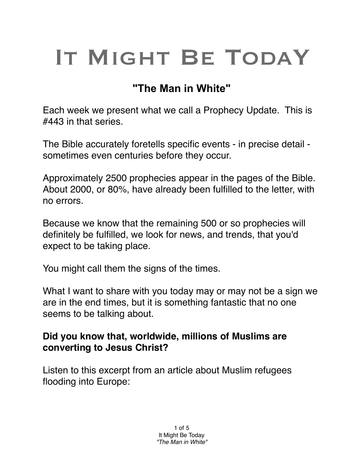# IT MIGHT BE TODAY

## **"The Man in White"**

Each week we present what we call a Prophecy Update. This is #443 in that series.

The Bible accurately foretells specific events - in precise detail sometimes even centuries before they occur.

Approximately 2500 prophecies appear in the pages of the Bible. About 2000, or 80%, have already been fulfilled to the letter, with no errors.

Because we know that the remaining 500 or so prophecies will definitely be fulfilled, we look for news, and trends, that you'd expect to be taking place.

You might call them the signs of the times.

What I want to share with you today may or may not be a sign we are in the end times, but it is something fantastic that no one seems to be talking about.

### **Did you know that, worldwide, millions of Muslims are converting to Jesus Christ?**

Listen to this excerpt from an article about Muslim refugees flooding into Europe: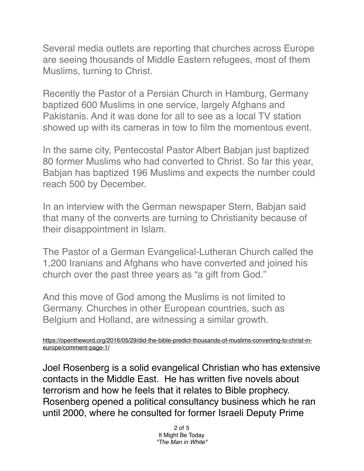Several media outlets are reporting that churches across Europe are seeing thousands of Middle Eastern refugees, most of them Muslims, turning to Christ.

Recently the Pastor of a Persian Church in Hamburg, Germany baptized 600 Muslims in one service, largely Afghans and Pakistanis. And it was done for all to see as a local TV station showed up with its cameras in tow to film the momentous event.

In the same city, Pentecostal Pastor Albert Babjan just baptized 80 former Muslims who had converted to Christ. So far this year, Babjan has baptized 196 Muslims and expects the number could reach 500 by December.

In an interview with the German newspaper Stern, Babjan said that many of the converts are turning to Christianity because of their disappointment in Islam.

The Pastor of a German Evangelical-Lutheran Church called the 1,200 Iranians and Afghans who have converted and joined his church over the past three years as "a gift from God."

And this move of God among the Muslims is not limited to Germany. Churches in other European countries, such as Belgium and Holland, are witnessing a similar growth.

```
https://opentheword.org/2016/05/29/did-the-bible-predict-thousands-of-muslims-converting-to-christ-in-
europe/comment-page-1/
```
Joel Rosenberg is a solid evangelical Christian who has extensive contacts in the Middle East. He has written five novels about terrorism and how he feels that it relates to Bible prophecy. Rosenberg opened a political consultancy business which he ran until 2000, where he consulted for former Israeli Deputy Prime

> 2 of 5 It Might Be Today *"The Man in White"*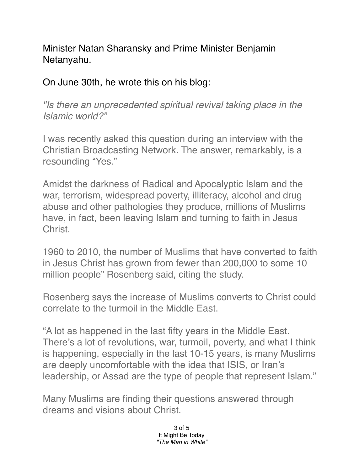Minister Natan Sharansky and Prime Minister Benjamin Netanyahu.

On June 30th, he wrote this on his blog:

*"Is there an unprecedented spiritual revival taking place in the Islamic world?"*

I was recently asked this question during an interview with the Christian Broadcasting Network. The answer, remarkably, is a resounding "Yes."

Amidst the darkness of Radical and Apocalyptic Islam and the war, terrorism, widespread poverty, illiteracy, alcohol and drug abuse and other pathologies they produce, millions of Muslims have, in fact, been leaving Islam and turning to faith in Jesus Christ.

1960 to 2010, the number of Muslims that have converted to faith in Jesus Christ has grown from fewer than 200,000 to some 10 million people" Rosenberg said, citing the study.

Rosenberg says the increase of Muslims converts to Christ could correlate to the turmoil in the Middle East.

"A lot as happened in the last fifty years in the Middle East. There's a lot of revolutions, war, turmoil, poverty, and what I think is happening, especially in the last 10-15 years, is many Muslims are deeply uncomfortable with the idea that ISIS, or Iran's leadership, or Assad are the type of people that represent Islam."

Many Muslims are finding their questions answered through dreams and visions about Christ.

> 3 of 5 It Might Be Today *"The Man in White"*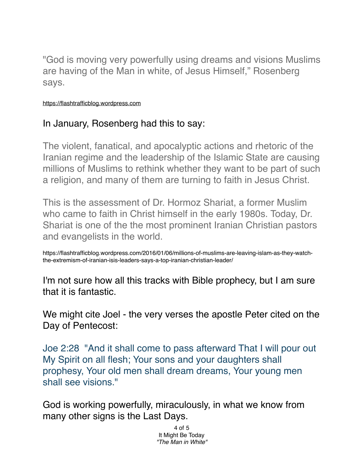"God is moving very powerfully using dreams and visions Muslims are having of the Man in white, of Jesus Himself," Rosenberg says.

#### <https://flashtrafficblog.wordpress.com>

### In January, Rosenberg had this to say:

The violent, fanatical, and apocalyptic actions and rhetoric of the Iranian regime and the leadership of the Islamic State are causing millions of Muslims to rethink whether they want to be part of such a religion, and many of them are turning to faith in Jesus Christ.

This is the assessment of Dr. Hormoz Shariat, a former Muslim who came to faith in Christ himself in the early 1980s. Today, Dr. Shariat is one of the the most prominent Iranian Christian pastors and evangelists in the world.

https://flashtrafficblog.wordpress.com/2016/01/06/millions-of-muslims-are-leaving-islam-as-they-watchthe-extremism-of-iranian-isis-leaders-says-a-top-iranian-christian-leader/

I'm not sure how all this tracks with Bible prophecy, but I am sure that it is fantastic.

We might cite Joel - the very verses the apostle Peter cited on the Day of Pentecost:

Joe 2:28 "And it shall come to pass afterward That I will pour out My Spirit on all flesh; Your sons and your daughters shall prophesy, Your old men shall dream dreams, Your young men shall see visions."

God is working powerfully, miraculously, in what we know from many other signs is the Last Days.

> 4 of 5 It Might Be Today *"The Man in White"*